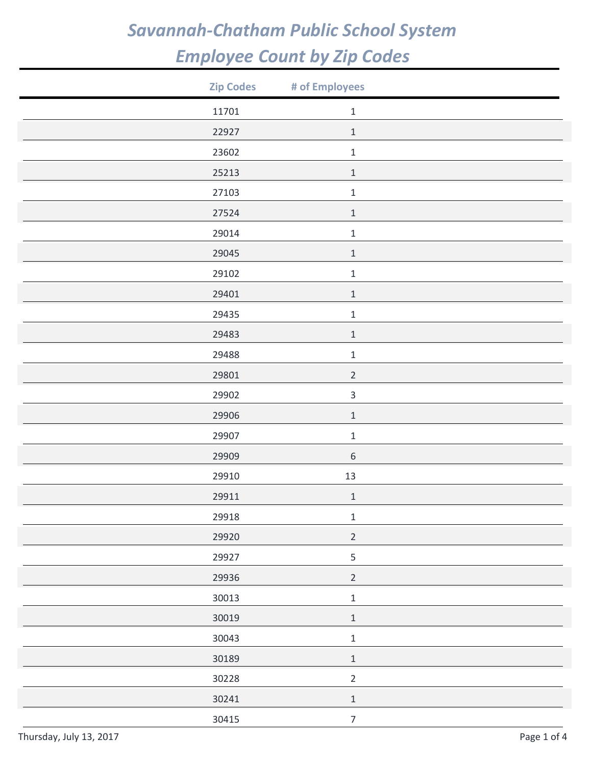| <b>Zip Codes</b> | # of Employees   |  |
|------------------|------------------|--|
| 11701            | $\,1\,$          |  |
| 22927            | $\,1\,$          |  |
| 23602            | $\mathbf 1$      |  |
| 25213            | $\,1\,$          |  |
| 27103            | $\,1\,$          |  |
| 27524            | $\,1\,$          |  |
| 29014            | $\mathbf 1$      |  |
| 29045            | $\,1\,$          |  |
| 29102            | $\mathbf 1$      |  |
| 29401            | $1\,$            |  |
| 29435            | $\,1\,$          |  |
| 29483            | $\,1\,$          |  |
| 29488            | $\mathbf 1$      |  |
| 29801            | $\overline{2}$   |  |
| 29902            | $\mathsf 3$      |  |
| 29906            | $\,1\,$          |  |
| 29907            | $\mathbf 1$      |  |
| 29909            | $\,$ 6 $\,$      |  |
| 29910            | 13               |  |
| 29911            | $\mathbf 1$      |  |
| 29918            | $\mathbf 1$      |  |
| 29920            | $\sqrt{2}$       |  |
| 29927            | $\mathsf S$      |  |
| 29936            | $\overline{2}$   |  |
| 30013            | $\mathbf 1$      |  |
| 30019            | $\,1\,$          |  |
| 30043            | $\mathbf 1$      |  |
| 30189            | $\,1\,$          |  |
| 30228            | $\mathbf 2$      |  |
| 30241            | $\,1\,$          |  |
| 30415            | $\boldsymbol{7}$ |  |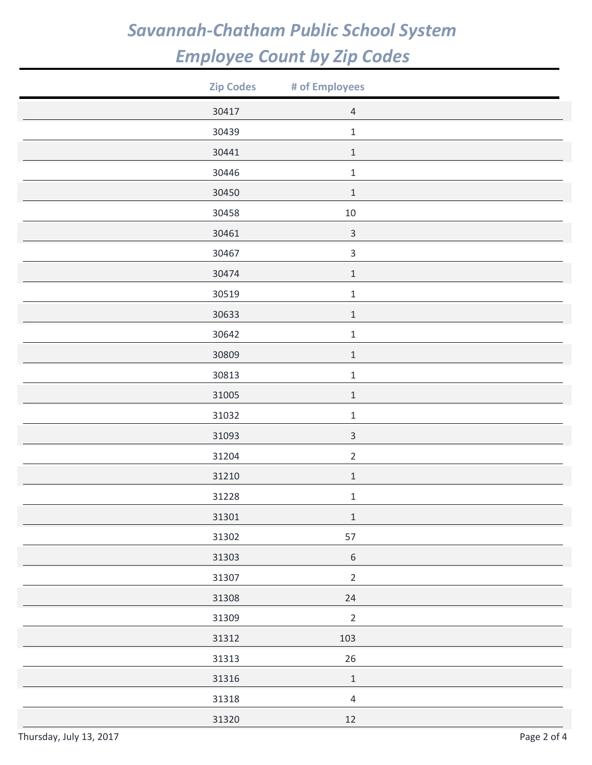| <b>Zip Codes</b> | # of Employees            |  |
|------------------|---------------------------|--|
| 30417            | $\sqrt{4}$                |  |
| 30439            | $\mathbf 1$               |  |
| 30441            | $1\,$                     |  |
| 30446            | $\mathbf 1$               |  |
| 30450            | $\mathbf 1$               |  |
| 30458            | $10\,$                    |  |
| 30461            | $\ensuremath{\mathsf{3}}$ |  |
| 30467            | $\mathsf 3$               |  |
| 30474            | $\mathbf 1$               |  |
| 30519            | $\mathbf 1$               |  |
| 30633            | $\mathbf 1$               |  |
| 30642            | $\mathbf 1$               |  |
| 30809            | $\mathbf 1$               |  |
| 30813            | $\mathbf 1$               |  |
| 31005            | $\mathbf 1$               |  |
| 31032            | $\mathbf 1$               |  |
| 31093            | $\ensuremath{\mathsf{3}}$ |  |
| 31204            | $\overline{2}$            |  |
| 31210            | $\mathbf 1$               |  |
| 31228            | $\mathbf 1$               |  |
| 31301            | $\mathbf 1$               |  |
| 31302            | 57                        |  |
| 31303            | $\,$ 6 $\,$               |  |
| 31307            | $\overline{2}$            |  |
| 31308            | 24                        |  |
| 31309            | $\mathbf 2$               |  |
| 31312            | 103                       |  |
| 31313            | 26                        |  |
| 31316            | $\,1\,$                   |  |
| 31318            | $\overline{4}$            |  |
| 31320            | $12\,$                    |  |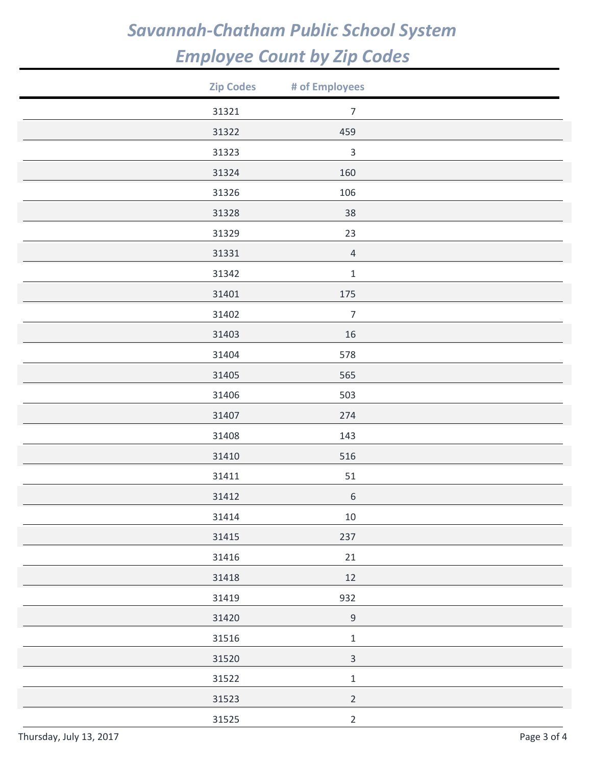| <b>Zip Codes</b> | # of Employees |  |
|------------------|----------------|--|
| 31321            | $\overline{7}$ |  |
| 31322            | 459            |  |
| 31323            | $\mathbf{3}$   |  |
| 31324            | 160            |  |
| 31326            | 106            |  |
| 31328            | 38             |  |
| 31329            | 23             |  |
| 31331            | $\sqrt{4}$     |  |
| 31342            | $\mathbf 1$    |  |
| 31401            | 175            |  |
| 31402            | $\overline{7}$ |  |
| 31403            | $16\,$         |  |
| 31404            | 578            |  |
| 31405            | 565            |  |
| 31406            | 503            |  |
| 31407            | 274            |  |
| 31408            | 143            |  |
| 31410            | 516            |  |
| 31411            | 51             |  |
| 31412            | $\,$ 6 $\,$    |  |
| 31414            | $10\,$         |  |
| 31415            | 237            |  |
| 31416            | 21             |  |
| 31418            | $12\,$         |  |
| 31419            | 932            |  |
| 31420            | $\mathsf 9$    |  |
| 31516            | $\mathbf 1$    |  |
| 31520            | $\mathsf 3$    |  |
| 31522            | $\mathbf 1$    |  |
| 31523            | $\sqrt{2}$     |  |
| 31525            | $\overline{2}$ |  |